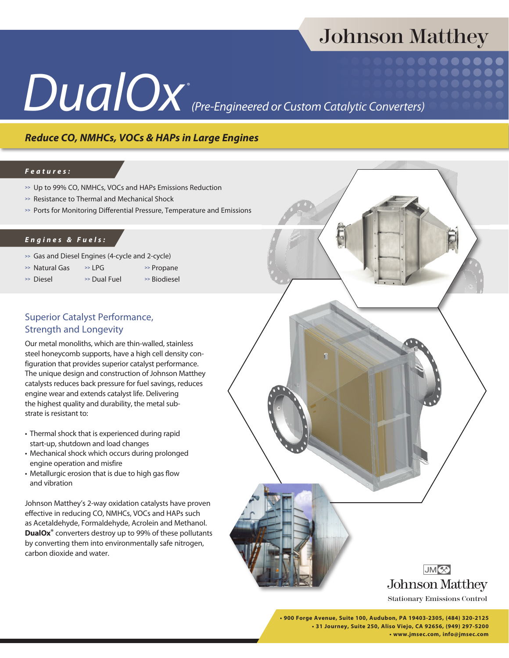## Johnson Matthey

# *DualOx®*

*(Pre-Engineered or Custom Catalytic Converters)*

## *Reduce CO, NMHCs, VOCs & HAPs in Large Engines*

#### *Features:*

- **>>** Up to 99% CO, NMHCs, VOCs and HAPs Emissions Reduction
- **>>** Resistance to Thermal and Mechanical Shock
- **>>** Ports for Monitoring Differential Pressure, Temperature and Emissions

#### *Engines & Fuels:*

- **>>** Gas and Diesel Engines (4-cycle and 2-cycle)
- **>>** Natural Gas **>>** LPG **>>** Propane
- 
- 
- **>>** Diesel **>>** Dual Fuel **>>** Biodiesel

### Superior Catalyst Performance, Strength and Longevity

Our metal monoliths, which are thin-walled, stainless steel honeycomb supports, have a high cell density configuration that provides superior catalyst performance. The unique design and construction of Johnson Matthey catalysts reduces back pressure for fuel savings, reduces engine wear and extends catalyst life. Delivering the highest quality and durability, the metal substrate is resistant to:

- Thermal shock that is experienced during rapid start-up, shutdown and load changes
- Mechanical shock which occurs during prolonged engine operation and misfire
- Metallurgic erosion that is due to high gas flow and vibration

Johnson Matthey's 2-way oxidation catalysts have proven effective in reducing CO, NMHCs, VOCs and HAPs such as Acetaldehyde, Formaldehyde, Acrolein and Methanol. **DualOx®** converters destroy up to 99% of these pollutants by converting them into environmentally safe nitrogen, carbon dioxide and water.



**• 900 Forge Avenue, Suite 100, Audubon, PA 19403-2305, (484) 320-2125 • 31 Journey, Suite 250, Aliso Viejo, CA 92656, (949) 297-5200 • www.jmsec.com, info@jmsec.com**